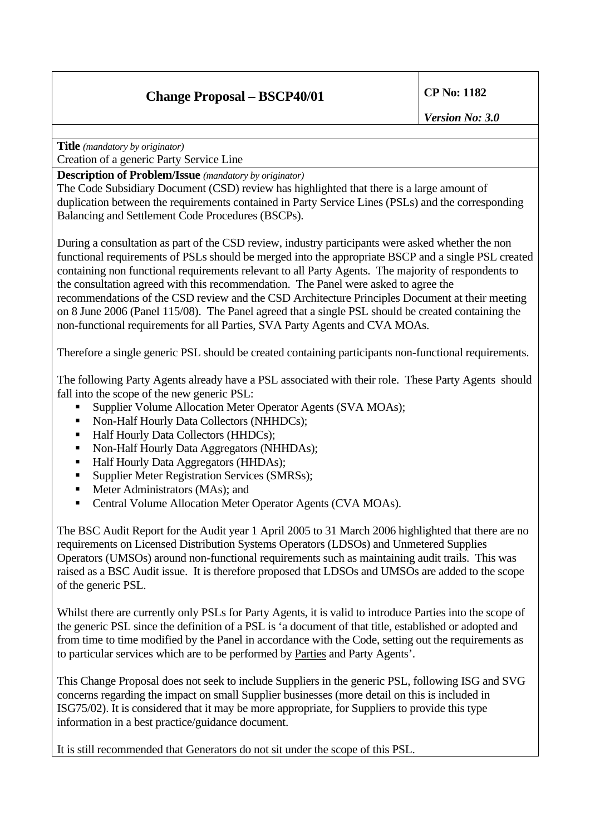## **Change Proposal – BSCP40/01 CP No: 1182**

*Version No: 3.0* 

**Title** *(mandatory by originator)*

Creation of a generic Party Service Line

**Description of Problem/Issue** *(mandatory by originator)* 

The Code Subsidiary Document (CSD) review has highlighted that there is a large amount of duplication between the requirements contained in Party Service Lines (PSLs) and the corresponding Balancing and Settlement Code Procedures (BSCPs).

During a consultation as part of the CSD review, industry participants were asked whether the non functional requirements of PSLs should be merged into the appropriate BSCP and a single PSL created containing non functional requirements relevant to all Party Agents. The majority of respondents to the consultation agreed with this recommendation. The Panel were asked to agree the recommendations of the CSD review and the CSD Architecture Principles Document at their meeting on 8 June 2006 (Panel 115/08). The Panel agreed that a single PSL should be created containing the non-functional requirements for all Parties, SVA Party Agents and CVA MOAs.

Therefore a single generic PSL should be created containing participants non-functional requirements.

The following Party Agents already have a PSL associated with their role. These Party Agents should fall into the scope of the new generic PSL:

- **Supplier Volume Allocation Meter Operator Agents (SVA MOAs);**
- Non-Half Hourly Data Collectors (NHHDCs);
- Half Hourly Data Collectors (HHDCs);
- Non-Half Hourly Data Aggregators (NHHDAs);
- Half Hourly Data Aggregators (HHDAs);
- Supplier Meter Registration Services (SMRSs);
- Meter Administrators (MAs); and
- Central Volume Allocation Meter Operator Agents (CVA MOAs).

The BSC Audit Report for the Audit year 1 April 2005 to 31 March 2006 highlighted that there are no requirements on Licensed Distribution Systems Operators (LDSOs) and Unmetered Supplies Operators (UMSOs) around non-functional requirements such as maintaining audit trails. This was raised as a BSC Audit issue. It is therefore proposed that LDSOs and UMSOs are added to the scope of the generic PSL.

Whilst there are currently only PSLs for Party Agents, it is valid to introduce Parties into the scope of the generic PSL since the definition of a PSL is 'a document of that title, established or adopted and from time to time modified by the Panel in accordance with the Code, setting out the requirements as to particular services which are to be performed by Parties and Party Agents'.

This Change Proposal does not seek to include Suppliers in the generic PSL, following ISG and SVG concerns regarding the impact on small Supplier businesses (more detail on this is included in ISG75/02). It is considered that it may be more appropriate, for Suppliers to provide this type information in a best practice/guidance document.

It is still recommended that Generators do not sit under the scope of this PSL.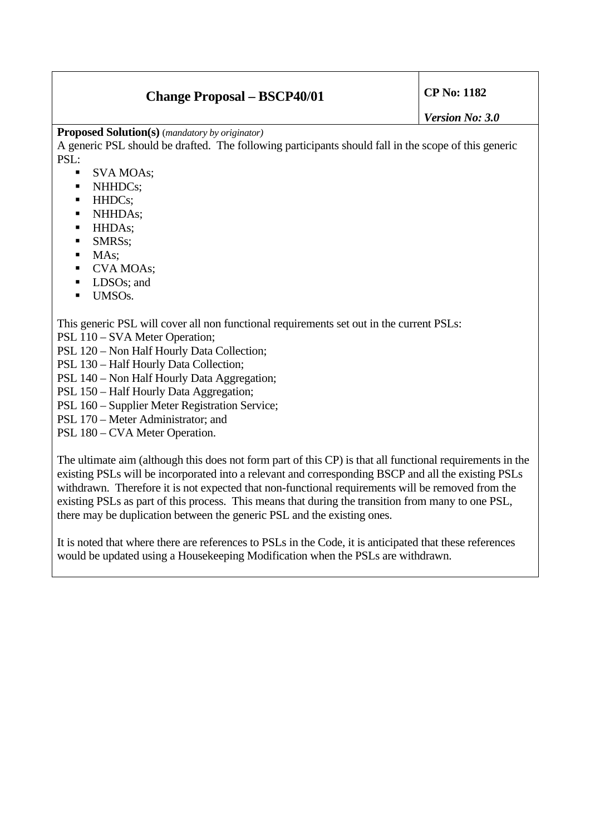## **Change Proposal – BSCP40/01 CP No: 1182**

**Proposed Solution(s)** (*mandatory by originator)* 

A generic PSL should be drafted. The following participants should fall in the scope of this generic PSL:

- SVA MOAs;
- NHHDCs;
- HHDCs:
- NHHDAs:
- **HHDAs**;
- **SMRSs**;
- $MAs:$
- CVA MOAs;
- **LDSOs**; and
- $\blacksquare$  UMSOs.

This generic PSL will cover all non functional requirements set out in the current PSLs:

PSL 110 – SVA Meter Operation;

PSL 120 – Non Half Hourly Data Collection;

- PSL 130 Half Hourly Data Collection;
- PSL 140 Non Half Hourly Data Aggregation;
- PSL 150 Half Hourly Data Aggregation;
- PSL 160 Supplier Meter Registration Service;
- PSL 170 Meter Administrator; and
- PSL 180 CVA Meter Operation.

The ultimate aim (although this does not form part of this CP) is that all functional requirements in the existing PSLs will be incorporated into a relevant and corresponding BSCP and all the existing PSLs withdrawn. Therefore it is not expected that non-functional requirements will be removed from the existing PSLs as part of this process. This means that during the transition from many to one PSL, there may be duplication between the generic PSL and the existing ones.

It is noted that where there are references to PSLs in the Code, it is anticipated that these references would be updated using a Housekeeping Modification when the PSLs are withdrawn.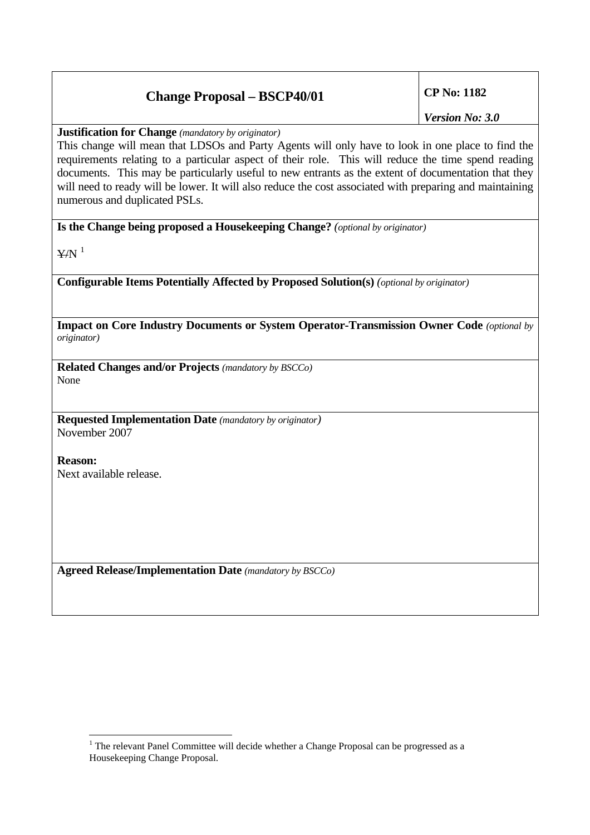## **Change Proposal – BSCP40/01 CP No: 1182**

*Version No: 3.0* 

**Justification for Change** *(mandatory by originator)* 

This change will mean that LDSOs and Party Agents will only have to look in one place to find the requirements relating to a particular aspect of their role. This will reduce the time spend reading documents. This may be particularly useful to new entrants as the extent of documentation that they will need to ready will be lower. It will also reduce the cost associated with preparing and maintaining numerous and duplicated PSLs.

**Is the Change being proposed a Housekeeping Change?** *(optional by originator)*

 $Y/N$ <sup>[1](#page-2-0)</sup>

**Configurable Items Potentially Affected by Proposed Solution(s)** *(optional by originator)* 

**Impact on Core Industry Documents or System Operator-Transmission Owner Code** *(optional by originator)*

**Related Changes and/or Projects** *(mandatory by BSCCo)*  None

**Requested Implementation Date** *(mandatory by originator)*  November 2007

**Reason:**  Next available release.

**Agreed Release/Implementation Date** *(mandatory by BSCCo)*

<span id="page-2-0"></span> $\overline{a}$  $1$  The relevant Panel Committee will decide whether a Change Proposal can be progressed as a Housekeeping Change Proposal.